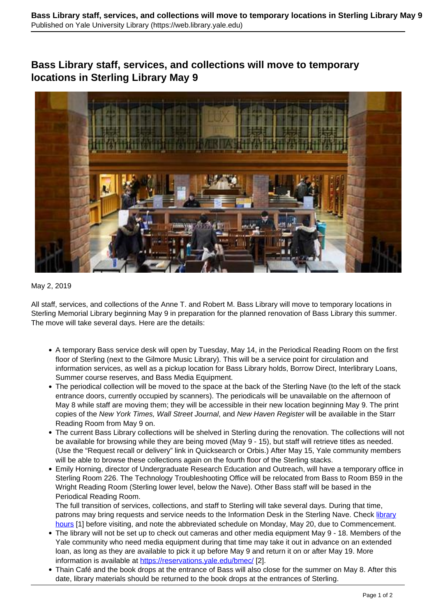## **Bass Library staff, services, and collections will move to temporary locations in Sterling Library May 9**



## May 2, 2019

All staff, services, and collections of the Anne T. and Robert M. Bass Library will move to temporary locations in Sterling Memorial Library beginning May 9 in preparation for the planned renovation of Bass Library this summer. The move will take several days. Here are the details:

- A temporary Bass service desk will open by Tuesday, May 14, in the Periodical Reading Room on the first floor of Sterling (next to the Gilmore Music Library). This will be a service point for circulation and information services, as well as a pickup location for Bass Library holds, Borrow Direct, Interlibrary Loans, Summer course reserves, and Bass Media Equipment.
- The periodical collection will be moved to the space at the back of the Sterling Nave (to the left of the stack entrance doors, currently occupied by scanners). The periodicals will be unavailable on the afternoon of May 8 while staff are moving them; they will be accessible in their new location beginning May 9. The print copies of the New York Times, Wall Street Journal, and New Haven Register will be available in the Starr Reading Room from May 9 on.
- The current Bass Library collections will be shelved in Sterling during the renovation. The collections will not be available for browsing while they are being moved (May 9 - 15), but staff will retrieve titles as needed. (Use the "Request recall or delivery" link in Quicksearch or Orbis.) After May 15, Yale community members will be able to browse these collections again on the fourth floor of the Sterling stacks.
- Emily Horning, director of Undergraduate Research Education and Outreach, will have a temporary office in Sterling Room 226. The Technology Troubleshooting Office will be relocated from Bass to Room B59 in the Wright Reading Room (Sterling lower level, below the Nave). Other Bass staff will be based in the Periodical Reading Room.

The full transition of services, collections, and staff to Sterling will take several days. During that time, patrons may bring requests and service needs to the Information Desk in the Sterling Nave. Check [library](https://web.library.yale.edu/buildings) [hours](https://web.library.yale.edu/buildings) [1] before visiting, and note the abbreviated schedule on Monday, May 20, due to Commencement.

- The library will not be set up to check out cameras and other media equipment May 9 18. Members of the Yale community who need media equipment during that time may take it out in advance on an extended loan, as long as they are available to pick it up before May 9 and return it on or after May 19. More information is available at https://reservations.yale.edu/bmec/ [2].
- Thain Café and the book drops at the entrance of Bass will also close for the summer on May 8. After this date, library materials should be returned to the book drops at the entrances of Sterling.